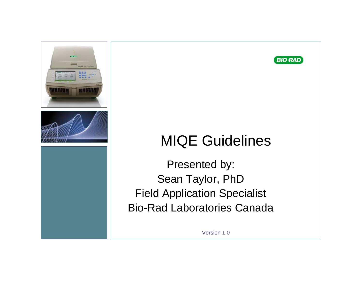



# MIQE Guidelines

Presented by: Sean Taylor, PhD Field Application Specialist Bio-Rad Laboratories Canada

Version 1.0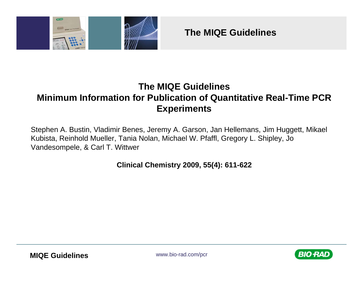

**The MIQE Guidelines**

#### **The MIQE Guidelines Minimum Information for Publication of Quantitative Real-Time PCR Experiments**

Stephen A. Bustin, Vladimir Benes, Jeremy A. Garson, Jan Hellemans, Jim Huggett, Mikael Kubista, Reinhold Mueller, Tania Nolan, Michael W. Pfaffl, Gregory L. Shipley, Jo Vandesompele, & Carl T. Wittwer

**Clinical Chemistry 2009, 55(4): 611-622**

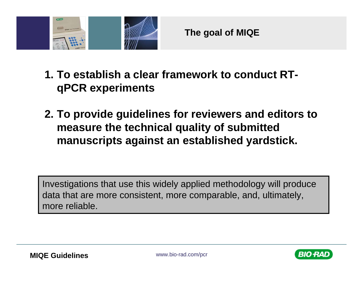

- **1. To establish a clear framework to conduct RTqPCR experiments**
- **2. To provide guidelines for reviewers and editors to measure the technical quality of submitted manuscripts against an established yardstick.**

Investigations that use this widely applied methodology will produce data that are more consistent, more comparable, and, ultimately, more reliable.



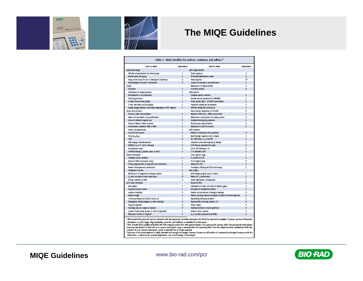



#### **The MIQE Guidelines**

| Table 1. MIQE checklist for authors, reviewers, and ecitors. <sup>3</sup>                             |            |                                                                                                                                                                  |            |  |  |
|-------------------------------------------------------------------------------------------------------|------------|------------------------------------------------------------------------------------------------------------------------------------------------------------------|------------|--|--|
| kam to deed:                                                                                          | Importance | liers to check                                                                                                                                                   | Importance |  |  |
| Esperimental chelpn                                                                                   |            | of CR oligarushet the                                                                                                                                            |            |  |  |
| Definition of experimental and control groups.                                                        | г          | <b>Niner sequences</b>                                                                                                                                           | r          |  |  |
| <b>Nurber within each goup</b>                                                                        | п          | EThinadě identification nunder                                                                                                                                   | D          |  |  |
| Assessment and the fire care or investigation's interesting?                                          | D          | Arche sequences                                                                                                                                                  | v          |  |  |
| Arknowledgmant of authors' contributions                                                              | D          | Location and identity of any modifications                                                                                                                       | r          |  |  |
| Imple                                                                                                 |            | Manufacturer of oligonucleotides                                                                                                                                 | D          |  |  |
| Description                                                                                           | г          | Ariliation method                                                                                                                                                | D          |  |  |
| Volume insec of comple processed                                                                      | D          | of CR protocol                                                                                                                                                   |            |  |  |
| Misradisaection or ensorations (for-                                                                  | r.         | Complete reaction conditions                                                                                                                                     | г          |  |  |
| <b>Promotoing procedure</b>                                                                           | r          | leation reluxe and arount of cBRAD&A                                                                                                                             | r          |  |  |
| If from, how and how qubits?                                                                          | п          | Arinan, (pedie), Mg <sup>2+</sup> , and dMTP consentrations.                                                                                                     | r          |  |  |
| If fluid, with what and how quickly?                                                                  | r          | Relynature identity and concentration                                                                                                                            | t.         |  |  |
| Sangle stamps contitions and dutation (especially for FFR <sup>6</sup> samples)                       | r.         | BufferRit identity and manufacturer                                                                                                                              | r.         |  |  |
| Nucleic acid epiraction                                                                               |            | React chemical composition of the buffer                                                                                                                         | D          |  |  |
| Projecture and/or instrumentation.                                                                    | п          | Additives (SYIRR Green I, DMSD, and so forth)                                                                                                                    | г          |  |  |
| Kame of kit and details of any modifications                                                          | ÷          | Manufacturer of pixtec/lubes and catalog ruerber                                                                                                                 | Þ          |  |  |
| Source of additional reagents used                                                                    | D          | Complete the motycing parameters                                                                                                                                 | r.         |  |  |
| Details of Didase or Elisas beginnert                                                                 | т          | Reaction setup (marculinabotic)                                                                                                                                  | D          |  |  |
| Detaining to AFE inserts national assistance                                                          | r.         | Manufacturer of gRCR instrument                                                                                                                                  | г          |  |  |
| Nucleic sold quantification                                                                           | ı          | of CR vs lidarion                                                                                                                                                |            |  |  |
| Instrument and method                                                                                 | F          | Didense of optimization (from gradients)                                                                                                                         | D          |  |  |
| <b>Aris WasAasi</b>                                                                                   | D          | Specific by (ge), sequence, mail, or digest)                                                                                                                     | ĩ          |  |  |
| Yaid                                                                                                  | D          | Ror 2198 Green   C, of the MRC                                                                                                                                   | г          |  |  |
| <b>ISA integrity: methodinatrument</b>                                                                | ı          | Calibration curves with slope and y intercept                                                                                                                    | г          |  |  |
| EMAQ or C, of 3' and 5' transcipts                                                                    | r          | <b>PCR efficiency calculated from sitige</b>                                                                                                                     | E          |  |  |
| Georgomesis trases                                                                                    | D          | Ch for FCR efficiency or 56                                                                                                                                      | Þ          |  |  |
| Irhibiton testing (C, dilutions, spike, or other)                                                     | t.         | r <sup>i</sup> of calibration curre                                                                                                                              | r.         |  |  |
| Romano tramuniptism                                                                                   |            | Unes: dynamic range                                                                                                                                              | r          |  |  |
| Complete reaction conditions                                                                          | F          | C, renistion at U30                                                                                                                                              | r          |  |  |
| Amount of BSA and reaction volume                                                                     | г          | Ch froughout range                                                                                                                                               | Þ          |  |  |
| friening oliganucleatide (if using £37) and consentration                                             | п          | Dridges for LDD                                                                                                                                                  | г          |  |  |
| Remos transcriptage and concentration                                                                 | ÷          | If multiples; efficiency and LDD of each appay                                                                                                                   | ĩ          |  |  |
| Temperature and time                                                                                  | t.         | Data analysis                                                                                                                                                    |            |  |  |
| Manufacturer of resignitis and catalogue numbers                                                      | D          | qRCM analysis program (source, menion)                                                                                                                           | г          |  |  |
| C <sub>a</sub> s with and without reverse transcription                                               | D.         | Mathod of C <sub>a</sub> date wination                                                                                                                           | r          |  |  |
| Storage conditions of cORA                                                                            | D          | Dutier identification and disposition                                                                                                                            | r          |  |  |
| of CR target information                                                                              |            | <b>Maults for MTCs</b>                                                                                                                                           | r          |  |  |
| Eans serbol                                                                                           | ĩ          | justification of number and choice of networks genes                                                                                                             | г          |  |  |
| Sequence scaesion ruenter                                                                             | т          | Description of normalization method                                                                                                                              | r          |  |  |
| Location of amplitum                                                                                  | D          | Number and renográsnes of biological replicates                                                                                                                  | D          |  |  |
| Amplicon bragin                                                                                       | г          | Number and stage (twente iranusiption or oFCR) of technical replicates                                                                                           | г          |  |  |
| in silice specificity screen (BLAST, and as on).                                                      | t          | Reproducility Sintraseaux rentations                                                                                                                             | t          |  |  |
| Panudogenes, retrogravatogenes, ar atter hoeralogu?                                                   | D          | Reproducibility (Interacces nariation, CN)                                                                                                                       | D          |  |  |
| Seguna sigment                                                                                        | D          | <b>Power amalysis</b>                                                                                                                                            | Ð          |  |  |
| Secondary structure analysis of amplican                                                              | b.         | Strategi methods for results stynfforce-                                                                                                                         | r          |  |  |
| Lacation of each primer by exan or intron (if spplicable)                                             | t          | Salbware (source, werelord                                                                                                                                       | r          |  |  |
| What splice rentants are targeted?                                                                    | t.         | C, or raw data submission with ROML                                                                                                                              | D.         |  |  |
|                                                                                                       |            | All essertial information (C) must be submitted with the manuscript. Desirable information (D) should be submitted if available. If primers are from RTPrimerOR, |            |  |  |
| information on gPCR target, oligonadecticke, protocolo, and validation is available from that source. |            | FFFE, formaln-ford, paraffe embrdded: FUN, RNA integrity number: ROL FAM quality inclusion: GSP, gene-specific priming: dMTP, demonschoolde triphosphate.        |            |  |  |

" FFS, turnaln-bod, partit-entoddet, RR, RRA magdy mucher, RRL, RAR-quilip includer, GP, gen-pack, princip, der<br>"Assesing the absence of EMA with a no-reverse transitytics essay is essential when furteersing RRA. Once the



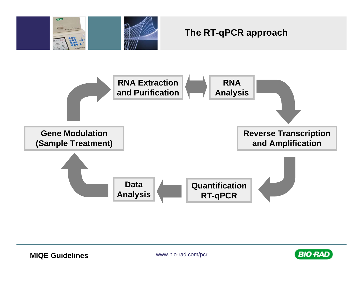

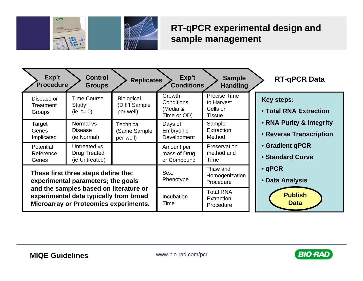

### **RT-qPCR experimental design and sample management**

| Exp't<br><b>Procedure</b>                                                                                                                                                                                     | <b>Control</b><br><b>Groups</b>                       | <b>Replicates</b>                                | Exp't<br><b>Conditions</b>                      | <b>Sample</b><br><b>Handling</b>                        | <b>RT-qPCR Data</b>                                 |
|---------------------------------------------------------------------------------------------------------------------------------------------------------------------------------------------------------------|-------------------------------------------------------|--------------------------------------------------|-------------------------------------------------|---------------------------------------------------------|-----------------------------------------------------|
| Disease or<br>Treatment<br>Groups                                                                                                                                                                             | <b>Time Course</b><br>Study<br>(ie: $t = 0$ )         | <b>Biological</b><br>(Diff't Sample<br>per well) | Growth<br>Conditions<br>(Media &<br>Time or OD) | <b>Precise Time</b><br>to Harvest<br>Cells or<br>Tissue | <b>Key steps:</b><br>• Total RNA Extraction         |
| Target<br>Genes<br>Implicated                                                                                                                                                                                 | Normal vs<br><b>Disease</b><br>(ie:Normal)            | <b>Technical</b><br>(Same Sample<br>per well)    | Days of<br>Embryonic<br>Development             | Sample<br>Extraction<br>Method                          | • RNA Purity & Integrity<br>• Reverse Transcription |
| Potential<br>Reference<br>Genes                                                                                                                                                                               | Untreated vs<br><b>Drug Treated</b><br>(ie:Untreated) |                                                  | Amount per<br>mass of Drug<br>or Compound       | Preservation<br>method and<br>Time                      | • Gradient qPCR<br>• Standard Curve                 |
| These first three steps define the:<br>experimental parameters; the goals<br>and the samples based on literature or<br>experimental data typically from broad<br><b>Microarray or Proteomics experiments.</b> |                                                       | Sex,<br>Phenotype                                | Thaw and<br>Homogenization<br>Procedure         | $\cdot$ qPCR<br>• Data Analysis                         |                                                     |
|                                                                                                                                                                                                               |                                                       | <b>Incubation</b><br>Time                        | <b>Total RNA</b><br>Extraction<br>Procedure     | <b>Publish</b><br><b>Data</b>                           |                                                     |

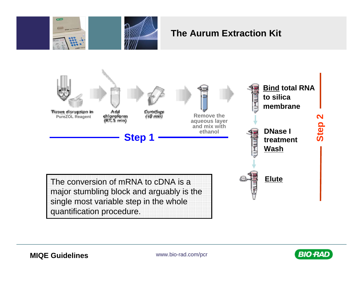



#### **The Aurum Extraction Kit**



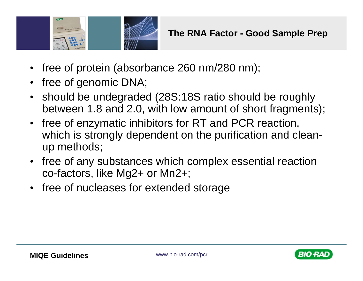

- $\bullet$ free of protein (absorbance 260 nm/280 nm);
- $\bullet$ free of genomic DNA;
- $\bullet$  should be undegraded (28S:18S ratio should be roughly between 1.8 and 2.0, with low amount of short fragments);
- $\bullet$  free of enzymatic inhibitors for RT and PCR reaction, which is strongly dependent on the purification and cleanup methods;
- $\bullet$  free of any substances which complex essential reaction co-factors, like Mg2+ or Mn2+;
- free of nucleases for extended storage

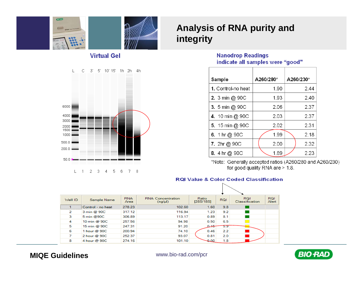



#### **Virtual Gel**



#### **Analysis of RNA purity and integrity**

#### **Nanodrop Readings** indicate all samples were "good"

| Sample             | A260/280* | A260/230* |
|--------------------|-----------|-----------|
| 1. Control-no heat | 1.90      | 2.44      |
| 2. 3 min @ 90C     | 1.93      | 2.40      |
| 3. 5 min @ 90C     | 2.06      | 2.37      |
| 4. 10 min @ 90C    | 2.03      | 2.37      |
| 5. 15 min @ 90C    | 2.02      | 2.31      |
| 6. 1 hr @ 90C      | 1.99      | 2.18      |
| 7. 2hr @ 90C       | 2.00      | 2.32      |
| 8. 4 hr @ 90C      | 1.89      | 2.23      |

\*Note: Generally accepted ratios (A260/280 and A260/230) for good quality RNA are > 1.8.

#### **RQI Value & Color Coded Classification**

| Well ID | Sample Name       | <b>RNA</b><br>Area | <b>RNA</b> Concentration<br>$(nq/\mu)$ | Ratio<br>[28S/18S] | <b>RQI</b> | <b>RQI</b><br>Classification | <b>RQI</b><br>Alert |
|---------|-------------------|--------------------|----------------------------------------|--------------------|------------|------------------------------|---------------------|
|         | Control - no heat | 278.23             | 102.60                                 | 1.60               | 9.8        |                              |                     |
| 2       | 3 min @ 90C       | 317.12             | 116.94                                 | 1.23               | 9.2        |                              |                     |
| 3       | 5 min @90C        | 306.89             | 113.17                                 | 0.89               | 8.1        |                              |                     |
| 4       | 10 min @ 90C      | 257.56             | 94.98                                  | 0.50               | 6.5        |                              |                     |
| 5       | 15 min @ 90C      | 247.31             | 91.20                                  | $0.15 -$           | 5.9        |                              |                     |
| 6       | 1 hour $@$ 90C    | 200.94             | 74.10                                  | 0.46               | 2.2        |                              |                     |
| 7       | 2 hour @ 90C      | 252.37             | 93.07                                  | 0.81               | 2.0        |                              |                     |
| 8       | 4 hour @ 90C      | 274.16             | 101.10                                 | $-0.00$            | 1.8        |                              |                     |

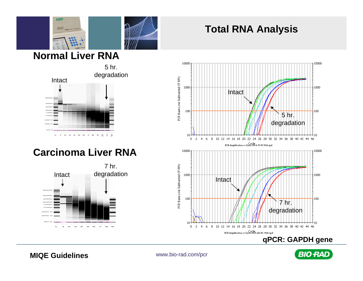

## **Total RNA Analysis**



## **Carcinoma Liver RNA**





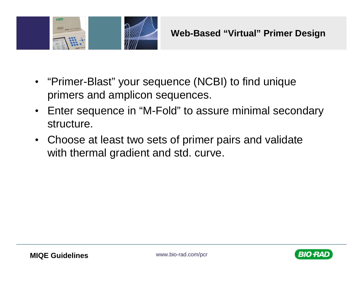

- "Primer-Blast" your sequence (NCBI) to find unique primers and amplicon sequences.
- Enter sequence in "M-Fold" to assure minimal secondary structure.
- Choose at least two sets of primer pairs and validate with thermal gradient and std. curve.

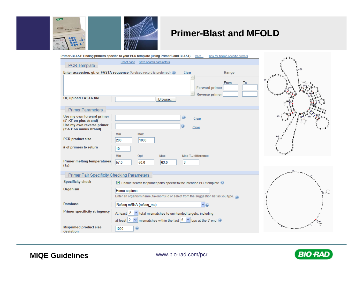



#### **Primer-Blast and MFOLD**

|                                                          | Primer-BLAST: Finding primers specific to your PCR template (using Primer3 and BLAST). more     | Tips for finding specific primers                            |                                |
|----------------------------------------------------------|-------------------------------------------------------------------------------------------------|--------------------------------------------------------------|--------------------------------|
|                                                          | Save search parameters<br>Reset page                                                            |                                                              |                                |
| PCR Template                                             |                                                                                                 |                                                              | 120                            |
|                                                          | Enter accession, gi, or FASTA sequence (A refseq record is preferred) @                         | Range<br>Clear                                               |                                |
| Or, upload FASTA file                                    | Browse                                                                                          | From<br>To<br><b>Forward primer</b><br><b>Reverse primer</b> |                                |
| <b>Primer Parameters</b>                                 |                                                                                                 |                                                              |                                |
| Use my own forward primer<br>$(5'$ > 3' on plus strand)  |                                                                                                 | $\odot$<br>Clear                                             |                                |
| Use my own reverse primer<br>$(5'$ > 3' on minus strand) |                                                                                                 | Clear                                                        |                                |
| <b>PCR</b> product size                                  | Min<br><b>Max</b>                                                                               |                                                              |                                |
|                                                          | 200<br>1000                                                                                     |                                                              |                                |
| # of primers to return                                   | 10                                                                                              |                                                              |                                |
|                                                          | Min<br>Opt<br>Max                                                                               | $Max Tm$ difference                                          |                                |
| <b>Primer melting temperatures</b><br>$(T_m)$            | 57.0<br>60.0<br>63.0                                                                            | 3                                                            |                                |
| <b>Primer Pair Specificity Checking Parameters</b>       |                                                                                                 |                                                              |                                |
| <b>Specificity check</b>                                 | ◘ Enable search for primer pairs specific to the intended PCR template                          |                                                              |                                |
| Organism                                                 | Homo sapiens                                                                                    |                                                              |                                |
|                                                          | Enter an organism name, taxonomy id or select from the suggestion list as you type.             |                                                              |                                |
| <b>Database</b>                                          | Refseq mRNA (refseq_rna)                                                                        |                                                              |                                |
| <b>Primer specificity stringency</b>                     | At least $2 \times$ total mismatches to unintended targets, including                           |                                                              |                                |
|                                                          | at least $2 \sqrt{\ }$ mismatches within the last $5 \sqrt{\ }$ bps at the 3' end $\circledast$ |                                                              |                                |
| <b>Misprimed product size</b><br>deviation               | 1000<br>O                                                                                       |                                                              | ويعاجب فالمعاتب فيعلمني بالمهم |

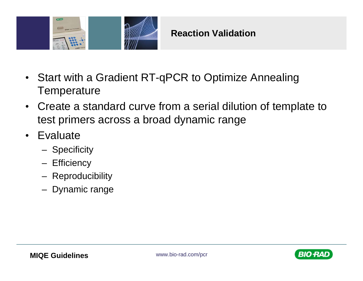

- Start with a Gradient RT-qPCR to Optimize Annealing **Temperature**
- Create a standard curve from a serial dilution of template to test primers across a broad dynamic range
- Evaluate
	- **Specificity**
	- **Efficiency**
	- Reproducibility
	- Dynamic range

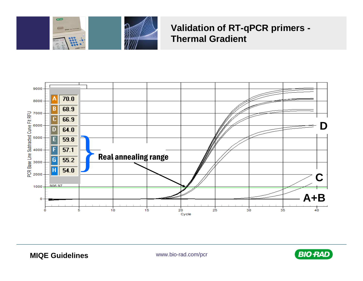

#### **Validation of RT-qPCR primers -Thermal Gradient**



**MIQE Guidelines** 

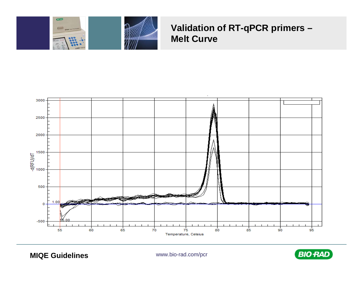



#### Validation of RT-qPCR primers -**Melt Curve**



**MIQE Guidelines** 

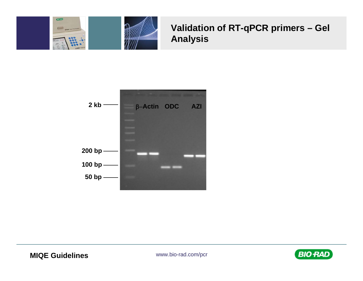

## Validation of RT-qPCR primers - Gel **Analysis**



**MIQE Guidelines** 

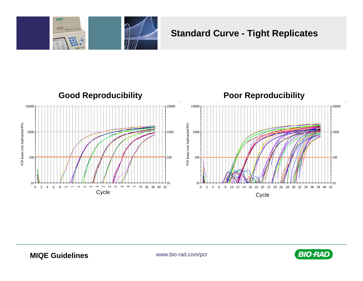

#### **Standard Curve - Tight Replicates**



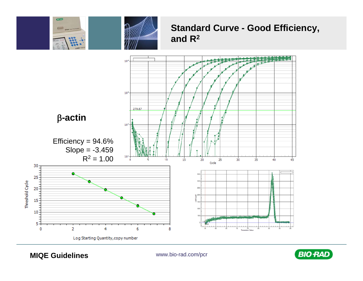

#### **Standard Curve - Good Efficiency,** and  $R^2$



**MIQE Guidelines** 

 $rac{1}{2}$ 

 $\Box$ 

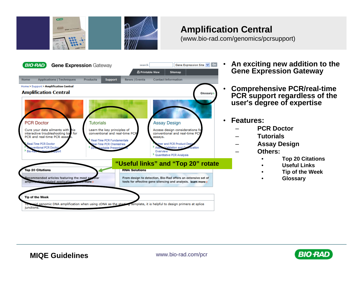

#### **Amplification Central**

(www.bio-rad.com/genomics/pcrsupport)



- • **An exciting new addition to the Gene Expression Gateway**
- • **Comprehensive PCR/real-time PCR support regardless of the user's degree of expertise**
- • **Features:**
	- **PCR Doctor**
	- **Tutorials**
	- **Assay Design**
		- **Others:**
			- •**Top 20 Citations**
			- •**Useful Links**
			- •**Tip of the Week**
			- •**Glossary**

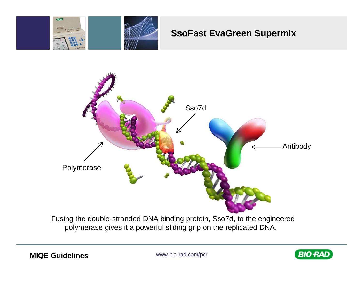

#### **SsoFast EvaGreen Supermix**



Fusing the double-stranded DNA binding protein, Sso7d, to the engineered polymerase gives it a powerful sliding grip on the replicated DNA.

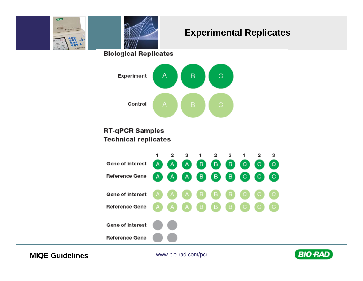

#### **Experimental Replicates**

**Biological Replicates** 



#### **RT-qPCR Samples Technical replicates**



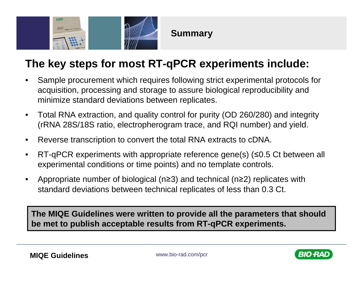

**Summary**

## **The key steps for most RT-qPCR experiments include:**

- • Sample procurement which requires following strict experimental protocols for acquisition, processing and storage to assure biological reproducibility and minimize standard deviations between replicates.
- $\bullet$  Total RNA extraction, and quality control for purity (OD 260/280) and integrity (rRNA 28S/18S ratio, electropherogram trace, and RQI number) and yield.
- $\bullet$ Reverse transcription to convert the total RNA extracts to cDNA.
- •RT-qPCR experiments with appropriate reference gene(s) (≤0.5 Ct between all experimental conditions or time points) and no template controls.
- $\bullet$  Appropriate number of biological (n≥3) and technical (n≥2) replicates with standard deviations between technical replicates of less than 0.3 Ct.

**The MIQE Guidelines were written to provide all the parameters that should be met to publish acceptable results from RT-qPCR experiments.**